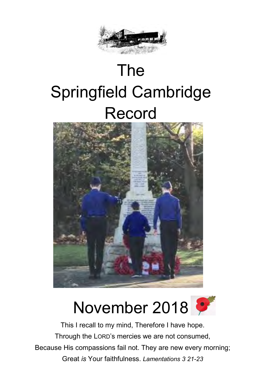

# The Springfield Cambridge Record





**Minister** Because His compassions fail not. They are new every morning; This I recall to my mind, Therefore I have hope. Through the LORD's mercies we are not consumed, Great *is* Your faithfulness. *Lamentations 3 21-23*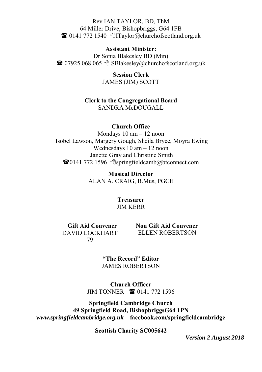Rev IAN TAYLOR, BD, ThM 64 Miller Drive, Bishopbriggs, G64 1FB  $\mathbf{\widehat{a}}$  0141 772 1540  $\Diamond$  Taylor@churchofscotland.org.uk

#### **Assistant Minister:**

Dr Sonia Blakesley BD (Min)  $\bullet$  07925 068 065  $\circ$  SBlakesley@churchofscotland.org.uk

> **Session Clerk**  JAMES (JIM) SCOTT

**Clerk to the Congregational Board**  SANDRA McDOUGALL

#### **Church Office**

Mondays 10 am – 12 noon Isobel Lawson, Margery Gough, Sheila Bryce, Moyra Ewing Wednesdays 10 am – 12 noon Janette Gray and Christine Smith  $\bullet$ 0141 772 1596  $\circ$ springfieldcamb@btconnect.com

> **Musical Director**  ALAN A. CRAIG, B.Mus, PGCE

> > **Treasurer**  JIM KERR

**Gift Aid Convener**  DAVID LOCKHART 79

 **Non Gift Aid Convener** ELLEN ROBERTSON

**"The Record" Editor** JAMES ROBERTSON

**Church Officer** JIM TONNER **1** 0141 772 1596

**Springfield Cambridge Church 49 Springfield Road, BishopbriggsG64 1PN** *www.springfieldcambridge.org.uk* **facebook.com/springfieldcambridge**

**Scottish Charity SC005642**

*Version 2 August 2018*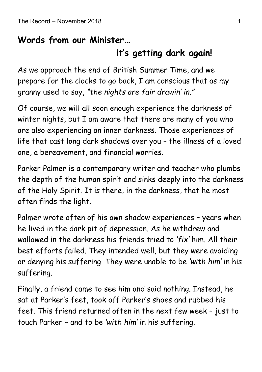### **Words from our Minister…**

### **it's getting dark again!**

As we approach the end of British Summer Time, and we prepare for the clocks to go back, I am conscious that as my granny used to say, *"the nights are fair drawin' in."*

Of course, we will all soon enough experience the darkness of winter nights, but I am aware that there are many of you who are also experiencing an inner darkness. Those experiences of life that cast long dark shadows over you – the illness of a loved one, a bereavement, and financial worries.

Parker Palmer is a contemporary writer and teacher who plumbs the depth of the human spirit and sinks deeply into the darkness of the Holy Spirit. It is there, in the darkness, that he most often finds the light.

Palmer wrote often of his own shadow experiences – years when he lived in the dark pit of depression. As he withdrew and wallowed in the darkness his friends tried to *'fix'* him. All their best efforts failed. They intended well, but they were avoiding or denying his suffering. They were unable to be *'with him'* in his suffering.

Finally, a friend came to see him and said nothing. Instead, he sat at Parker's feet, took off Parker's shoes and rubbed his feet. This friend returned often in the next few week – just to touch Parker – and to be *'with him'* in his suffering.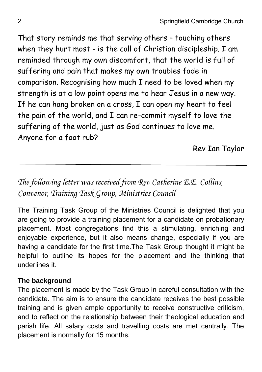That story reminds me that serving others – touching others when they hurt most - is the call of Christian discipleship. I am reminded through my own discomfort, that the world is full of suffering and pain that makes my own troubles fade in comparison. Recognising how much I need to be loved when my strength is at a low point opens me to hear Jesus in a new way. If he can hang broken on a cross, I can open my heart to feel the pain of the world, and I can re-commit myself to love the suffering of the world, just as God continues to love me. Anyone for a foot rub?

Rev Ian Taylor

### *The following letter was received from Rev Catherine E.E. Collins, Convenor, Training Task Group, Ministries Council*

The Training Task Group of the Ministries Council is delighted that you are going to provide a training placement for a candidate on probationary placement. Most congregations find this a stimulating, enriching and enjoyable experience, but it also means change, especially if you are having a candidate for the first time.The Task Group thought it might be helpful to outline its hopes for the placement and the thinking that underlines it.

#### **The background**

The placement is made by the Task Group in careful consultation with the candidate. The aim is to ensure the candidate receives the best possible training and is given ample opportunity to receive constructive criticism, and to reflect on the relationship between their theological education and parish life. All salary costs and travelling costs are met centrally. The placement is normally for 15 months.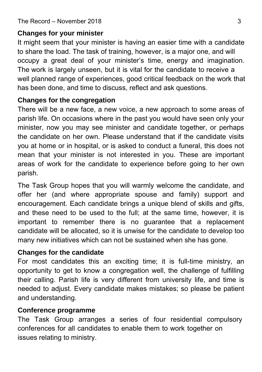#### **Changes for your minister**

It might seem that your minister is having an easier time with a candidate to share the load. The task of training, however, is a major one, and will occupy a great deal of your minister's time, energy and imagination. The work is largely unseen, but it is vital for the candidate to receive a well planned range of experiences, good critical feedback on the work that has been done, and time to discuss, reflect and ask questions.

#### **Changes for the congregation**

There will be a new face, a new voice, a new approach to some areas of parish life. On occasions where in the past you would have seen only your minister, now you may see minister and candidate together, or perhaps the candidate on her own. Please understand that if the candidate visits you at home or in hospital, or is asked to conduct a funeral, this does not mean that your minister is not interested in you. These are important areas of work for the candidate to experience before going to her own parish.

The Task Group hopes that you will warmly welcome the candidate, and offer her (and where appropriate spouse and family) support and encouragement. Each candidate brings a unique blend of skills and gifts, and these need to be used to the full; at the same time, however, it is important to remember there is no guarantee that a replacement candidate will be allocated, so it is unwise for the candidate to develop too many new initiatives which can not be sustained when she has gone.

#### **Changes for the candidate**

For most candidates this an exciting time; it is full-time ministry, an opportunity to get to know a congregation well, the challenge of fulfilling their calling. Parish life is very different from university life, and time is needed to adjust. Every candidate makes mistakes; so please be patient and understanding.

### **Conference programme**

The Task Group arranges a series of four residential compulsory conferences for all candidates to enable them to work together on issues relating to ministry.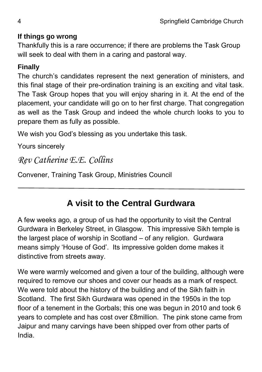#### **If things go wrong**

Thankfully this is a rare occurrence; if there are problems the Task Group will seek to deal with them in a caring and pastoral way.

#### **Finally**

The church's candidates represent the next generation of ministers, and this final stage of their pre-ordination training is an exciting and vital task. The Task Group hopes that you will enjoy sharing in it. At the end of the placement, your candidate will go on to her first charge. That congregation as well as the Task Group and indeed the whole church looks to you to prepare them as fully as possible.

We wish you God's blessing as you undertake this task.

Yours sincerely

### *Rev Catherine E.E. Collins*

Convener, Training Task Group, Ministries Council

### **A visit to the Central Gurdwara**

A few weeks ago, a group of us had the opportunity to visit the Central Gurdwara in Berkeley Street, in Glasgow. This impressive Sikh temple is the largest place of worship in Scotland – of any religion. Gurdwara means simply 'House of God'. Its impressive golden dome makes it distinctive from streets away.

We were warmly welcomed and given a tour of the building, although were required to remove our shoes and cover our heads as a mark of respect. We were told about the history of the building and of the Sikh faith in Scotland. The first Sikh Gurdwara was opened in the 1950s in the top floor of a tenement in the Gorbals; this one was begun in 2010 and took 6 years to complete and has cost over £8million. The pink stone came from Jaipur and many carvings have been shipped over from other parts of India.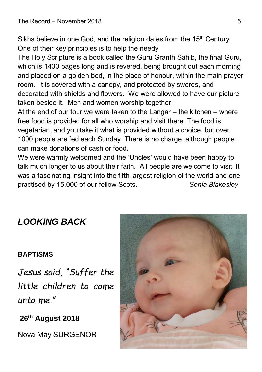Sikhs believe in one God, and the religion dates from the 15<sup>th</sup> Century. One of their key principles is to help the needy

The Holy Scripture is a book called the Guru Granth Sahib, the final Guru, which is 1430 pages long and is revered, being brought out each morning and placed on a golden bed, in the place of honour, within the main prayer room. It is covered with a canopy, and protected by swords, and decorated with shields and flowers. We were allowed to have our picture taken beside it. Men and women worship together.

At the end of our tour we were taken to the Langar – the kitchen – where free food is provided for all who worship and visit there. The food is vegetarian, and you take it what is provided without a choice, but over 1000 people are fed each Sunday. There is no charge, although people can make donations of cash or food.

We were warmly welcomed and the 'Uncles' would have been happy to talk much longer to us about their faith. All people are welcome to visit. It was a fascinating insight into the fifth largest religion of the world and one practised by 15,000 of our fellow Scots. *Sonia Blakesley*

### *LOOKING BACK*

#### **BAPTISMS**

*Jesus said, "Suffer the little children to come unto me."*

**26th August 2018**

Nova May SURGENOR

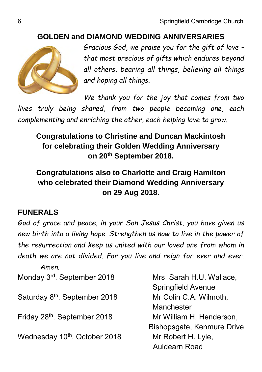#### **GOLDEN and DIAMOND WEDDING ANNIVERSARIES**



*Gracious God, we praise you for the gift of love – that most precious of gifts which endures beyond all others, bearing all things, believing all things and hoping all things.*

*We thank you for the joy that comes from two lives truly being shared, from two people becoming one, each complementing and enriching the other, each helping love to grow.*

### **Congratulations to Christine and Duncan Mackintosh for celebrating their Golden Wedding Anniversary on 20th September 2018.**

**Congratulations also to Charlotte and Craig Hamilton who celebrated their Diamond Wedding Anniversary on 29 Aug 2018.**

#### **FUNERALS**

*God of grace and peace, in your Son Jesus Christ, you have given us new birth into a living hope. Strengthen us now to live in the power of the resurrection and keep us united with our loved one from whom in death we are not divided. For you live and reign for ever and ever. Amen.*

Monday 3<sup>rd</sup>. September 2018 Mrs Sarah H.U. Wallace, Springfield Avenue Saturday 8<sup>th</sup>. September 2018 Mr Colin C.A. Wilmoth, **Manchester** Friday 28th. September 2018 Mr William H. Henderson, Bishopsgate, Kenmure Drive Wednesday 10<sup>th</sup>, October 2018 Mr Robert H. Lyle, Auldearn Road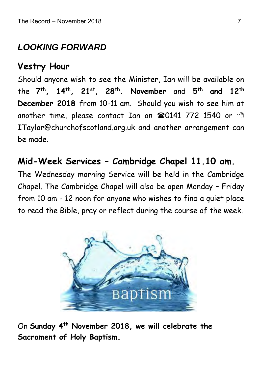### *LOOKING FORWARD*

### **Vestry Hour**

Should anyone wish to see the Minister, Ian will be available on the **7 th , 14th, 21st, 28th. November** and **5 th and 12th December 2018** from 10-11 am. Should you wish to see him at another time, please contact Ian on  $\mathbf{\mathfrak{B}}0141$  772 1540 or  $\Diamond$ ITaylor@churchofscotland.org.uk and another arrangement can be made.

### **Mid-Week Services – Cambridge Chapel 11.10 am.**

The Wednesday morning Service will be held in the Cambridge Chapel. The Cambridge Chapel will also be open Monday – Friday from 10 am - 12 noon for anyone who wishes to find a quiet place to read the Bible, pray or reflect during the course of the week.



On **Sunday 4th November 2018, we will celebrate the Sacrament of Holy Baptism.**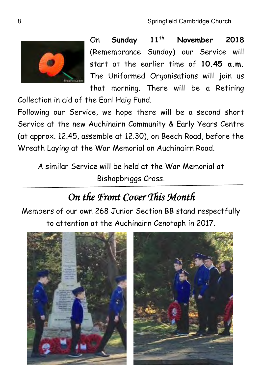

On **Sunday 11th November 2018**  (Remembrance Sunday) our Service will start at the earlier time of **10.45 a.m.** The Uniformed Organisations will join us that morning. There will be a Retiring

Collection in aid of the Earl Haig Fund.

Following our Service, we hope there will be a second short Service at the new Auchinairn Community & Early Years Centre (at approx. 12.45, assemble at 12.30), on Beech Road, before the Wreath Laying at the War Memorial on Auchinairn Road.

A similar Service will be held at the War Memorial at Bishopbriggs Cross.

### *On the Front Cover This Month*

Members of our own 268 Junior Section BB stand respectfully to attention at the Auchinairn Cenotaph in 2017.

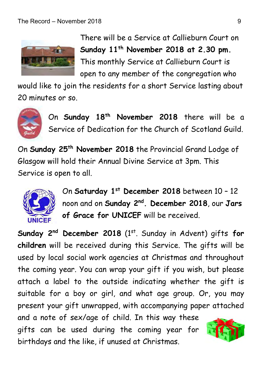

There will be a Service at Callieburn Court on **Sunday 11th November 2018 at 2.30 pm.**  This monthly Service at Callieburn Court is open to any member of the congregation who

would like to join the residents for a short Service lasting about 20 minutes or so.



On **Sunday 18th November 2018** there will be a Service of Dedication for the Church of Scotland Guild.

On **Sunday 25th November 2018** the Provincial Grand Lodge of Glasgow will hold their Annual Divine Service at 3pm. This Service is open to all.



On **Saturday 1st December 2018** between 10 – 12 noon and on **Sunday 2nd . December 2018**, our **Jars of Grace for UNICEF** will be received.

**Sunday 2nd December 2018** (1st. Sunday in Advent) gifts **for children** will be received during this Service. The gifts will be used by local social work agencies at Christmas and throughout the coming year. You can wrap your gift if you wish, but please attach a label to the outside indicating whether the gift is suitable for a boy or girl, and what age group. Or, you may present your gift unwrapped, with accompanying paper attached and a note of sex/age of child. In this way these gifts can be used during the coming year for birthdays and the like, if unused at Christmas.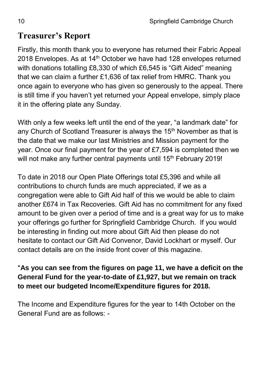### **Treasurer's Report**

Firstly, this month thank you to everyone has returned their Fabric Appeal 2018 Envelopes. As at  $14<sup>th</sup>$  October we have had 128 envelopes returned with donations totalling £8,330 of which £6,545 is "Gift Aided" meaning that we can claim a further £1,636 of tax relief from HMRC. Thank you once again to everyone who has given so generously to the appeal. There is still time if you haven't yet returned your Appeal envelope, simply place it in the offering plate any Sunday.

With only a few weeks left until the end of the year, "a landmark date" for any Church of Scotland Treasurer is always the  $15<sup>th</sup>$  November as that is the date that we make our last Ministries and Mission payment for the year. Once our final payment for the year of £7,594 is completed then we will not make any further central payments until 15<sup>th</sup> February 2019!

To date in 2018 our Open Plate Offerings total £5,396 and while all contributions to church funds are much appreciated, if we as a congregation were able to Gift Aid half of this we would be able to claim another £674 in Tax Recoveries. Gift Aid has no commitment for any fixed amount to be given over a period of time and is a great way for us to make your offerings go further for Springfield Cambridge Church. If you would be interesting in finding out more about Gift Aid then please do not hesitate to contact our Gift Aid Convenor, David Lockhart or myself. Our contact details are on the inside front cover of this magazine.

#### \***As you can see from the figures on page 11, we have a deficit on the General Fund for the year-to-date of £1,927, but we remain on track to meet our budgeted Income/Expenditure figures for 2018.**

The Income and Expenditure figures for the year to 14th October on the General Fund are as follows: -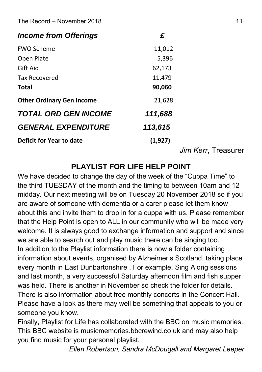#### The Record – November 2018 11

| <b>Income from Offerings</b>      | £        |
|-----------------------------------|----------|
| <b>FWO Scheme</b>                 | 11,012   |
| Open Plate                        | 5,396    |
| Gift Aid                          | 62,173   |
| Tax Recovered                     | 11,479   |
| Total                             | 90,060   |
| <b>Other Ordinary Gen Income</b>  | 21,628   |
| <b>TOTAL ORD GEN INCOME</b>       | 111,688  |
| <i><b>GENERAL EXPENDITURE</b></i> | 113,615  |
| Deficit for Year to date          | (1, 927) |
|                                   |          |
|                                   |          |

*Jim Kerr*, Treasurer

#### **PLAYLIST FOR LIFE HELP POINT**

We have decided to change the day of the week of the "Cuppa Time" to the third TUESDAY of the month and the timing to between 10am and 12 midday. Our next meeting will be on Tuesday 20 November 2018 so if you are aware of someone with dementia or a carer please let them know about this and invite them to drop in for a cuppa with us. Please remember that the Help Point is open to ALL in our community who will be made very welcome. It is always good to exchange information and support and since we are able to search out and play music there can be singing too. In addition to the Playlist information there is now a folder containing information about events, organised by Alzheimer's Scotland, taking place every month in East Dunbartonshire . For example, Sing Along sessions and last month, a very successful Saturday afternoon film and fish supper was held. There is another in November so check the folder for details. There is also information about free monthly concerts in the Concert Hall. Please have a look as there may well be something that appeals to you or someone you know.

Finally, Playlist for Life has collaborated with the BBC on music memories. This BBC website is musicmemories.bbcrewind.co.uk and may also help you find music for your personal playlist.

*Ellen Robertson, Sandra McDougall and Margaret Leeper*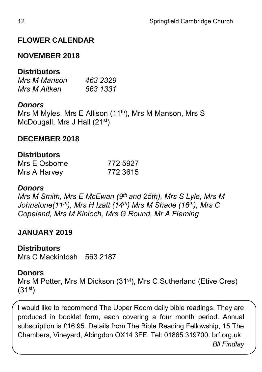#### **FLOWER CALENDAR**

#### **NOVEMBER 2018**

#### **Distributors**

| Mrs M Manson | 463 2329 |
|--------------|----------|
| Mrs M Aitken | 563 1331 |

#### *Donors*

Mrs M Myles, Mrs E Allison (11th), Mrs M Manson, Mrs S McDougall, Mrs J Hall (21<sup>st</sup>)

#### **DECEMBER 2018**

#### **Distributors**

| Mrs E Osborne | 772 5927 |
|---------------|----------|
| Mrs A Harvey  | 772 3615 |

#### *Donors*

*Mrs M Smith, Mrs E McEwan (9th and 25th), Mrs S Lyle, Mrs M Johnstone(11th), Mrs H Izatt (14th) Mrs M Shade (16th), Mrs C Copeland, Mrs M Kinloch, Mrs G Round, Mr A Fleming*

#### **JANUARY 2019**

#### **Distributors**

Mrs C Mackintosh 563 2187

#### **Donors**

Mrs M Potter, Mrs M Dickson (31<sup>st</sup>), Mrs C Sutherland (Etive Cres)  $(31^{st})$ 

I would like to recommend The Upper Room daily bible readings. They are produced in booklet form, each covering a four month period. Annual subscription is £16.95. Details from The Bible Reading Fellowship, 15 The Chambers, Vineyard, Abingdon OX14 3FE. Tel: 01865 319700. brf,org,uk *Bll Findlay*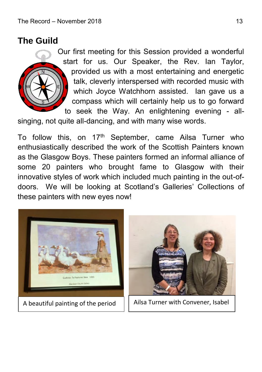### **The Guild**

Our first meeting for this Session provided a wonderful start for us. Our Speaker, the Rev. Ian Taylor, provided us with a most entertaining and energetic talk, cleverly interspersed with recorded music with which Joyce Watchhorn assisted. Ian gave us a compass which will certainly help us to go forward to seek the Way. An enlightening evening - all-

singing, not quite all-dancing, and with many wise words.

To follow this, on  $17<sup>th</sup>$  September, came Ailsa Turner who enthusiastically described the work of the Scottish Painters known as the Glasgow Boys. These painters formed an informal alliance of some 20 painters who brought fame to Glasgow with their innovative styles of work which included much painting in the out-ofdoors. We will be looking at Scotland's Galleries' Collections of these painters with new eyes now!





Ailsa Turner with Convener, Isabel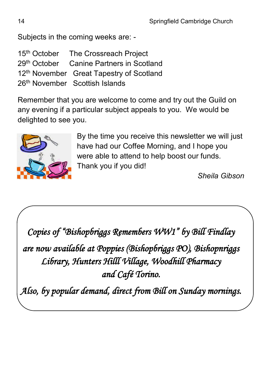Subjects in the coming weeks are: -

|  | 15 <sup>th</sup> October The Crossreach Project      |
|--|------------------------------------------------------|
|  | 29th October Canine Partners in Scotland             |
|  | 12 <sup>th</sup> November Great Tapestry of Scotland |
|  | 26th November Scottish Islands                       |

Remember that you are welcome to come and try out the Guild on any evening if a particular subject appeals to you. We would be delighted to see you.



By the time you receive this newsletter we will just have had our Coffee Morning, and I hope you were able to attend to help boost our funds. Thank you if you did!

*Sheila Gibson*

*Copies of "Bishopbriggs Remembers WW1" by Bill Findlay* 

*are now available at Poppies (Bishopbriggs PO), Bishopnriggs Library, Hunters Hilll Village, Woodhill Pharmacy and Café Torino.* 

*Also, by popular demand, direct from Bill on Sunday mornings.*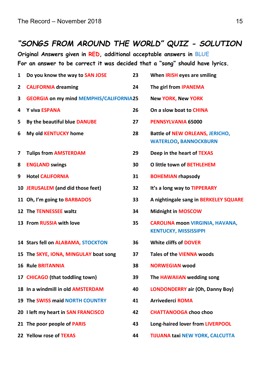#### *"SONGS FROM AROUND THE WORLD" QUIZ - SOLUTION*

**Original Answers given in RED, additional acceptable answers in BLUE For an answer to be correct it was decided that a "song" should have lyrics.**

| 1 | Do you know the way to SAN JOSE                | 23 | When IRISH eyes are smiling                                            |
|---|------------------------------------------------|----|------------------------------------------------------------------------|
| 2 | <b>CALIFORNIA dreaming</b>                     | 24 | The girl from IPANEMA                                                  |
| 3 | <b>GEORGIA on my mind MEMPHIS/CALIFORNIA25</b> |    | <b>New YORK, New YORK</b>                                              |
| 4 | Y viva ESPANA                                  | 26 | On a slow boat to CHINA                                                |
| 5 | By the beautiful blue DANUBE                   | 27 | PENNSYLVANIA 65000                                                     |
| 6 | My old <b>KENTUCKY</b> home                    | 28 | <b>Battle of NEW ORLEANS, JERICHO,</b><br><b>WATERLOO, BANNOCKBURN</b> |
| 7 | <b>Tulips from AMSTERDAM</b>                   | 29 | Deep in the heart of TEXAS                                             |
| 8 | <b>ENGLAND swings</b>                          | 30 | O little town of BETHLEHEM                                             |
| 9 | <b>Hotel CALIFORNIA</b>                        | 31 | <b>BOHEMIAN rhapsody</b>                                               |
|   | 10 JERUSALEM (and did those feet)              | 32 | It's a long way to TIPPERARY                                           |
|   | 11 Oh, I'm going to BARBADOS                   | 33 | A nightingale sang in BERKELEY SQUARE                                  |
|   | 12 The TENNESSEE waltz                         | 34 | <b>Midnight in MOSCOW</b>                                              |
|   | 13 From RUSSIA with love                       | 35 | <b>CAROLINA moon VIRGINIA, HAVANA,</b><br><b>KENTUCKY, MISSISSIPPI</b> |
|   | 14 Stars fell on ALABAMA, STOCKTON             | 36 | White cliffs of DOVER                                                  |
|   | 15 The SKYE, IONA, MINGULAY boat song          | 37 | <b>Tales of the VIENNA woods</b>                                       |
|   | <b>16 Rule BRITANNIA</b>                       | 38 | <b>NORWEGIAN wood</b>                                                  |
|   | 17 CHICAGO (that toddling town)                | 39 | The HAWAIIAN wedding song                                              |
|   | 18 In a windmill in old AMSTERDAM              | 40 | LONDONDERRY air (Oh, Danny Boy)                                        |
|   | <b>19 The SWISS maid NORTH COUNTRY</b>         | 41 | <b>Arrivederci ROMA</b>                                                |
|   | 20 I left my heart in SAN FRANCISCO            | 42 | <b>CHATTANOOGA choo choo</b>                                           |
|   | 21 The poor people of PARIS                    | 43 | Long-haired lover from LIVERPOOL                                       |
|   | 22 Yellow rose of TEXAS                        | 44 | <b>TIJUANA taxi NEW YORK, CALCUTTA</b>                                 |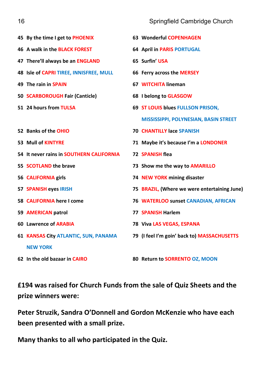| 45 By the time I get to PHOENIX          | 63 Wonderful COPENHAGEN                      |
|------------------------------------------|----------------------------------------------|
| 46 A walk in the BLACK FOREST            | <b>64 April in PARIS PORTUGAL</b>            |
| 47 There'll always be an ENGLAND         | 65 Surfin' USA                               |
| 48 Isle of CAPRI TIREE, INNISFREE, MULL  | 66 Ferry across the MERSEY                   |
| 49 The rain in SPAIN                     | 67 WITCHITA lineman                          |
| 50 SCARBOROUGH Fair (Canticle)           | 68 I belong to GLASGOW                       |
| 51 24 hours from TULSA                   | 69 ST LOUIS blues FULLSON PRISON,            |
|                                          | MISSISSIPPI, POLYNESIAN, BASIN STREET        |
| 52 Banks of the OHIO                     | <b>70 CHANTILLY lace SPANISH</b>             |
| 53 Mull of KINTYRE                       | 71 Maybe it's because I'm a LONDONER         |
| 54 It never rains in SOUTHERN CALIFORNIA | <b>72 SPANISH flea</b>                       |
| 55 SCOTLAND the brave                    | 73 Show me the way to AMARILLO               |
| 56 CALIFORNIA girls                      | 74 NEW YORK mining disaster                  |
| 57 SPANISH eyes IRISH                    | 75 BRAZIL, (Where we were entertaining June) |
| 58 CALIFORNIA here I come                | 76 WATERLOO sunset CANADIAN, AFRICAN         |
| 59 AMERICAN patrol                       | <b>77 SPANISH Harlem</b>                     |
| 60 Lawrence of ARABIA                    | 78 Viva LAS VEGAS, ESPANA                    |
| 61 KANSAS City ATLANTIC, SUN, PANAMA     | 79 (I feel I'm goin' back to) MASSACHUSETTS  |
| <b>NEW YORK</b>                          |                                              |
| 62 In the old bazaar in CAIRO            | 80 Return to SORRENTO OZ, MOON               |

**£194 was raised for Church Funds from the sale of Quiz Sheets and the prize winners were:**

**Peter Struzik, Sandra O'Donnell and Gordon McKenzie who have each been presented with a small prize.**

**Many thanks to all who participated in the Quiz.**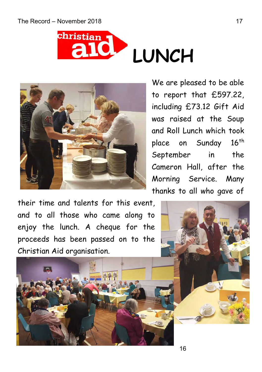



We are pleased to be able to report that £597.22, including £73.12 Gift Aid was raised at the Soup and Roll Lunch which took place on Sunday 16<sup>th</sup> September in the Cameron Hall, after the Morning Service. Many thanks to all who gave of

their time and talents for this event, and to all those who came along to enjoy the lunch. A cheque for the proceeds has been passed on to the Christian Aid organisation.



16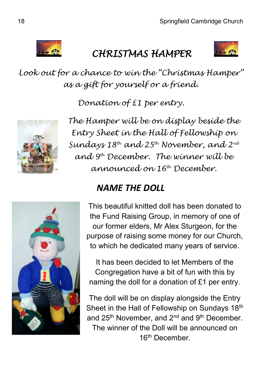

### *CHRISTMAS HAMPER*



*Look out for a chance to win the "Christmas Hamper" as a gift for yourself or a friend.* 

*Donation of £1 per entry.*



*The Hamper will be on display beside the Entry Sheet in the Hall of Fellowship on Sundays 18th and 25th November, and 2nd and 9th December. The winner will be announced on 16th December.*



### *NAME THE DOLL*

This beautiful knitted doll has been donated to the Fund Raising Group, in memory of one of our former elders, Mr Alex Sturgeon, for the purpose of raising some money for our Church, to which he dedicated many years of service.

It has been decided to let Members of the Congregation have a bit of fun with this by naming the doll for a donation of £1 per entry.

The doll will be on display alongside the Entry Sheet in the Hall of Fellowship on Sundays 18<sup>th</sup> and 25<sup>th</sup> November, and 2<sup>nd</sup> and 9<sup>th</sup> December. The winner of the Doll will be announced on 16th December.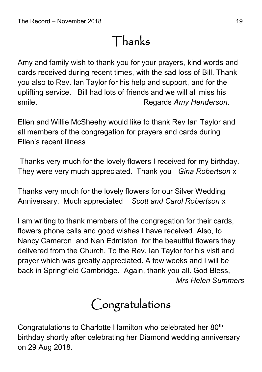# Thanks

Amy and family wish to thank you for your prayers, kind words and cards received during recent times, with the sad loss of Bill. Thank you also to Rev. Ian Taylor for his help and support, and for the uplifting service. Bill had lots of friends and we will all miss his smile. **Regards** *Amy Henderson*.

Ellen and Willie McSheehy would like to thank Rev Ian Taylor and all members of the congregation for prayers and cards during Ellen's recent illness

Thanks very much for the lovely flowers I received for my birthday. They were very much appreciated. Thank you *Gina Robertson* x

Thanks very much for the lovely flowers for our Silver Wedding Anniversary. Much appreciated *Scott and Carol Robertson* x

I am writing to thank members of the congregation for their cards, flowers phone calls and good wishes I have received. Also, to Nancy Cameron and Nan Edmiston for the beautiful flowers they delivered from the Church. To the Rev. Ian Taylor for his visit and prayer which was greatly appreciated. A few weeks and I will be back in Springfield Cambridge. Again, thank you all. God Bless, *Mrs Helen Summers*



Congratulations to Charlotte Hamilton who celebrated her 80<sup>th</sup> birthday shortly after celebrating her Diamond wedding anniversary on 29 Aug 2018.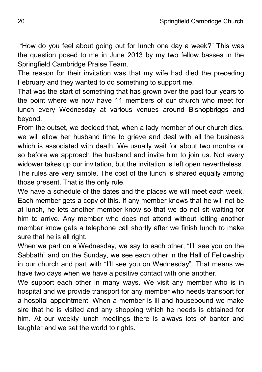"How do you feel about going out for lunch one day a week?" This was the question posed to me in June 2013 by my two fellow basses in the Springfield Cambridge Praise Team.

The reason for their invitation was that my wife had died the preceding February and they wanted to do something to support me.

That was the start of something that has grown over the past four years to the point where we now have 11 members of our church who meet for lunch every Wednesday at various venues around Bishopbriggs and beyond.

From the outset, we decided that, when a lady member of our church dies, we will allow her husband time to grieve and deal with all the business which is associated with death. We usually wait for about two months or so before we approach the husband and invite him to join us. Not every widower takes up our invitation, but the invitation is left open nevertheless. The rules are very simple. The cost of the lunch is shared equally among

those present. That is the only rule.

We have a schedule of the dates and the places we will meet each week. Each member gets a copy of this. If any member knows that he will not be at lunch, he lets another member know so that we do not sit waiting for him to arrive. Any member who does not attend without letting another member know gets a telephone call shortly after we finish lunch to make sure that he is all right.

When we part on a Wednesday, we say to each other, "I'll see you on the Sabbath" and on the Sunday, we see each other in the Hall of Fellowship in our church and part with "I'll see you on Wednesday". That means we have two days when we have a positive contact with one another.

We support each other in many ways. We visit any member who is in hospital and we provide transport for any member who needs transport for a hospital appointment. When a member is ill and housebound we make sire that he is visited and any shopping which he needs is obtained for him. At our weekly lunch meetings there is always lots of banter and laughter and we set the world to rights.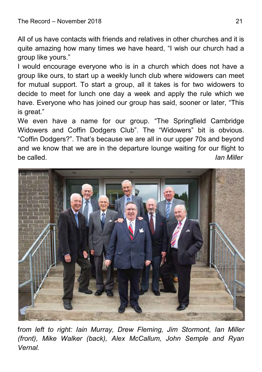All of us have contacts with friends and relatives in other churches and it is quite amazing how many times we have heard, "I wish our church had a group like yours."

I would encourage everyone who is in a church which does not have a group like ours, to start up a weekly lunch club where widowers can meet for mutual support. To start a group, all it takes is for two widowers to decide to meet for lunch one day a week and apply the rule which we have. Everyone who has joined our group has said, sooner or later, "This is great."

We even have a name for our group. "The Springfield Cambridge Widowers and Coffin Dodgers Club". The "Widowers" bit is obvious. "Coffin Dodgers?". That's because we are all in our upper 70s and beyond and we know that we are in the departure lounge waiting for our flight to be called. *Ian Miller*



f*rom left to right: Iain Murray, Drew Fleming, Jim Stormont, Ian Miller (front), Mike Walker (back), Alex McCallum, John Semple and Ryan Vernal.*